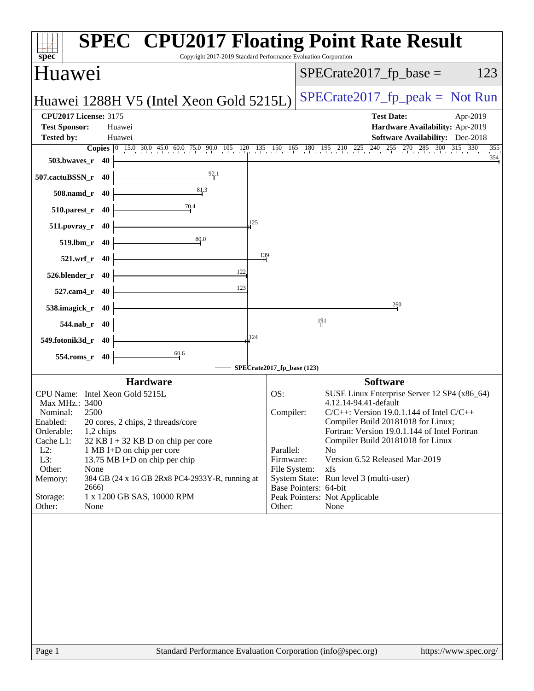| spec <sup>®</sup>                                                                                                                                                                                                                                                                                                                                                                                                                                               | <b>SPEC<sup>®</sup> CPU2017 Floating Point Rate Result</b><br>Copyright 2017-2019 Standard Performance Evaluation Corporation                                                                                                                                                                                                                                                                                                                                                                                       |
|-----------------------------------------------------------------------------------------------------------------------------------------------------------------------------------------------------------------------------------------------------------------------------------------------------------------------------------------------------------------------------------------------------------------------------------------------------------------|---------------------------------------------------------------------------------------------------------------------------------------------------------------------------------------------------------------------------------------------------------------------------------------------------------------------------------------------------------------------------------------------------------------------------------------------------------------------------------------------------------------------|
| <b>Huawei</b>                                                                                                                                                                                                                                                                                                                                                                                                                                                   | $SPECTate2017$ _fp_base =<br>123                                                                                                                                                                                                                                                                                                                                                                                                                                                                                    |
| Huawei 1288H V5 (Intel Xeon Gold 5215L)                                                                                                                                                                                                                                                                                                                                                                                                                         | $SPECrate2017_fp\_peak = Not Run$                                                                                                                                                                                                                                                                                                                                                                                                                                                                                   |
| <b>CPU2017 License: 3175</b><br><b>Test Sponsor:</b><br>Huawei<br><b>Tested by:</b><br>Huawei                                                                                                                                                                                                                                                                                                                                                                   | <b>Test Date:</b><br>Apr-2019<br>Hardware Availability: Apr-2019<br><b>Software Availability:</b> Dec-2018                                                                                                                                                                                                                                                                                                                                                                                                          |
| 503.bwaves_r<br>-40                                                                                                                                                                                                                                                                                                                                                                                                                                             | <b>Copies</b> $\begin{bmatrix} 0 & 15.0 & 30.0 & 45.0 & 60.0 & 75.0 & 90.0 & 105 & 120 & 135 & 150 & 165 & 180 & 195 & 210 & 225 & 240 & 255 & 270 & 285 & 300 & 315 & 330 \end{bmatrix}$<br>355<br>354                                                                                                                                                                                                                                                                                                             |
| 92.1<br>507.cactuBSSN_r 40<br>81.3<br>508.namd_r 40                                                                                                                                                                                                                                                                                                                                                                                                             |                                                                                                                                                                                                                                                                                                                                                                                                                                                                                                                     |
| $\frac{70.4}{4}$<br>510.parest_r 40                                                                                                                                                                                                                                                                                                                                                                                                                             |                                                                                                                                                                                                                                                                                                                                                                                                                                                                                                                     |
| 125<br>$511. povray_r$ 40<br>80.0<br>$519$ .lbm_r<br>- 40                                                                                                                                                                                                                                                                                                                                                                                                       |                                                                                                                                                                                                                                                                                                                                                                                                                                                                                                                     |
| 521.wrf_r 40<br>122                                                                                                                                                                                                                                                                                                                                                                                                                                             | 139                                                                                                                                                                                                                                                                                                                                                                                                                                                                                                                 |
| 526.blender_r<br>-40<br>123<br>$527$ .cam $4r$<br>-40                                                                                                                                                                                                                                                                                                                                                                                                           |                                                                                                                                                                                                                                                                                                                                                                                                                                                                                                                     |
| 538.imagick_r<br>-40<br>544.nab_r 40                                                                                                                                                                                                                                                                                                                                                                                                                            | 260<br>191                                                                                                                                                                                                                                                                                                                                                                                                                                                                                                          |
| 124<br>549.fotonik3d_r 40                                                                                                                                                                                                                                                                                                                                                                                                                                       |                                                                                                                                                                                                                                                                                                                                                                                                                                                                                                                     |
| 60.6<br>$554$ .roms_r<br>40                                                                                                                                                                                                                                                                                                                                                                                                                                     | SPECrate2017_fp_base (123)                                                                                                                                                                                                                                                                                                                                                                                                                                                                                          |
| <b>Hardware</b><br>CPU Name: Intel Xeon Gold 5215L<br>Max MHz.: 3400<br>2500<br>Nominal:<br>Enabled:<br>20 cores, 2 chips, 2 threads/core<br>Orderable:<br>$1,2$ chips<br>Cache L1:<br>$32$ KB I + 32 KB D on chip per core<br>$L2$ :<br>1 MB I+D on chip per core<br>L3:<br>13.75 MB I+D on chip per chip<br>Other:<br>None<br>384 GB (24 x 16 GB 2Rx8 PC4-2933Y-R, running at<br>Memory:<br>2666)<br>1 x 1200 GB SAS, 10000 RPM<br>Storage:<br>Other:<br>None | <b>Software</b><br>OS:<br>SUSE Linux Enterprise Server 12 SP4 (x86_64)<br>4.12.14-94.41-default<br>$C/C++$ : Version 19.0.1.144 of Intel $C/C++$<br>Compiler:<br>Compiler Build 20181018 for Linux;<br>Fortran: Version 19.0.1.144 of Intel Fortran<br>Compiler Build 20181018 for Linux<br>Parallel:<br>N <sub>o</sub><br>Firmware:<br>Version 6.52 Released Mar-2019<br>File System:<br>xfs<br>System State: Run level 3 (multi-user)<br>Base Pointers: 64-bit<br>Peak Pointers: Not Applicable<br>Other:<br>None |
| Page 1                                                                                                                                                                                                                                                                                                                                                                                                                                                          | Standard Performance Evaluation Corporation (info@spec.org)<br>https://www.spec.org/                                                                                                                                                                                                                                                                                                                                                                                                                                |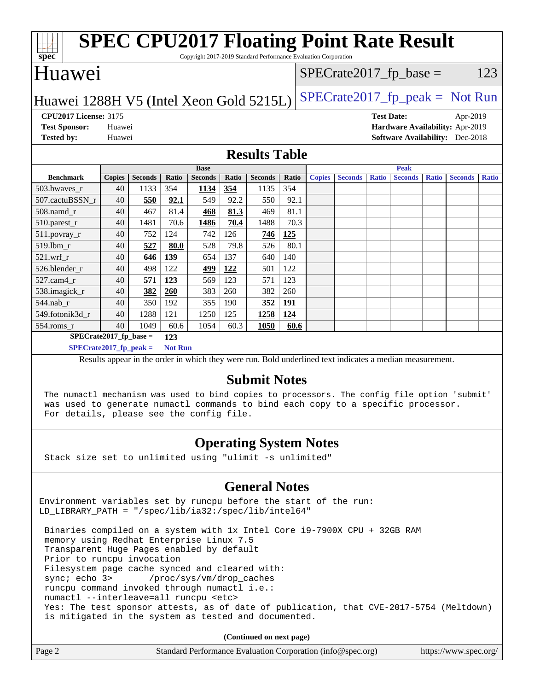| <b>SPEC CPU2017 Floating Point Rate Result</b><br>spec<br>Copyright 2017-2019 Standard Performance Evaluation Corporation |               |                |              |                |              |                |       |                           |                |                   |                |              |                                        |              |
|---------------------------------------------------------------------------------------------------------------------------|---------------|----------------|--------------|----------------|--------------|----------------|-------|---------------------------|----------------|-------------------|----------------|--------------|----------------------------------------|--------------|
| <b>Huawei</b>                                                                                                             |               |                |              |                |              |                |       | $SPECrate2017_fp\_base =$ |                |                   |                |              | 123                                    |              |
| $SPECrate2017fr peak = Not Run$<br>Huawei 1288H V5 (Intel Xeon Gold 5215L)                                                |               |                |              |                |              |                |       |                           |                |                   |                |              |                                        |              |
| <b>CPU2017 License: 3175</b>                                                                                              |               |                |              |                |              |                |       |                           |                | <b>Test Date:</b> |                |              | Apr-2019                               |              |
| <b>Test Sponsor:</b>                                                                                                      | Huawei        |                |              |                |              |                |       |                           |                |                   |                |              | Hardware Availability: Apr-2019        |              |
| <b>Tested by:</b>                                                                                                         | Huawei        |                |              |                |              |                |       |                           |                |                   |                |              | <b>Software Availability:</b> Dec-2018 |              |
| <b>Results Table</b>                                                                                                      |               |                |              |                |              |                |       |                           |                |                   |                |              |                                        |              |
|                                                                                                                           |               |                |              | <b>Base</b>    |              |                |       |                           |                |                   | Peak           |              |                                        |              |
| <b>Benchmark</b>                                                                                                          | <b>Copies</b> | <b>Seconds</b> | <b>Ratio</b> | <b>Seconds</b> | <b>Ratio</b> | <b>Seconds</b> | Ratio | <b>Copies</b>             | <b>Seconds</b> | <b>Ratio</b>      | <b>Seconds</b> | <b>Ratio</b> | <b>Seconds</b>                         | <b>Ratio</b> |
| 503.bwaves_r                                                                                                              | 40            | 1133           | 354          | 1134           | 354          | 1135           | 354   |                           |                |                   |                |              |                                        |              |
| 507.cactuBSSN r                                                                                                           | 40            | 550            | 92.1         | 549            | 92.2         | 550            | 92.1  |                           |                |                   |                |              |                                        |              |
| 508.namd r                                                                                                                | 40            | 467            | 81.4         | 468            | 81.3         | 469            | 81.1  |                           |                |                   |                |              |                                        |              |
| 510.parest_r                                                                                                              | 40            | 1481           | 70.6         | 1486           | 70.4         | 1488           | 70.3  |                           |                |                   |                |              |                                        |              |
| 511.povray_r                                                                                                              | 40            | 752            | 124          | 742            | 126          | 746            | 125   |                           |                |                   |                |              |                                        |              |
| 519.1bm r                                                                                                                 | 40            | 527            | 80.0         | 528            | 79.8         | 526            | 80.1  |                           |                |                   |                |              |                                        |              |
| $521.wrf_r$                                                                                                               | 40            | 646            | 139          | 654            | 137          | 640            | 140   |                           |                |                   |                |              |                                        |              |
| 526.blender_r                                                                                                             | 40            | 498            | 122          | 499            | 122          | 501            | 122   |                           |                |                   |                |              |                                        |              |
| 527.cam4 r                                                                                                                | 40            | 571            | 123          | 569            | 123          | 571            | 123   |                           |                |                   |                |              |                                        |              |
| 538.imagick_r                                                                                                             | 40            | 382            | 260          | 383            | 260          | 382            | 260   |                           |                |                   |                |              |                                        |              |
| 544.nab r                                                                                                                 | 40            | 350            | 192          | 355            | 190          | 352            | 191   |                           |                |                   |                |              |                                        |              |
| 549.fotonik3d_r                                                                                                           | 40            | 1288           | 121          | 1250           | 125          | 1258           | 124   |                           |                |                   |                |              |                                        |              |
| 554.roms_r                                                                                                                | 40            | 1049           | 60.6         | 1054           | 60.3         | 1050           | 60.6  |                           |                |                   |                |              |                                        |              |
| $SPECrate2017_fp\_base =$<br>123                                                                                          |               |                |              |                |              |                |       |                           |                |                   |                |              |                                        |              |
| $SPECrate2017_fp_peak =$<br><b>Not Run</b>                                                                                |               |                |              |                |              |                |       |                           |                |                   |                |              |                                        |              |
| Results appear in the order in which they were run. Bold underlined text indicates a median measurement.                  |               |                |              |                |              |                |       |                           |                |                   |                |              |                                        |              |
| <b>Submit Notes</b>                                                                                                       |               |                |              |                |              |                |       |                           |                |                   |                |              |                                        |              |

 The numactl mechanism was used to bind copies to processors. The config file option 'submit' was used to generate numactl commands to bind each copy to a specific processor. For details, please see the config file.

### **[Operating System Notes](http://www.spec.org/auto/cpu2017/Docs/result-fields.html#OperatingSystemNotes)**

Stack size set to unlimited using "ulimit -s unlimited"

### **[General Notes](http://www.spec.org/auto/cpu2017/Docs/result-fields.html#GeneralNotes)**

Environment variables set by runcpu before the start of the run: LD\_LIBRARY\_PATH = "/spec/lib/ia32:/spec/lib/intel64"

 Binaries compiled on a system with 1x Intel Core i9-7900X CPU + 32GB RAM memory using Redhat Enterprise Linux 7.5 Transparent Huge Pages enabled by default Prior to runcpu invocation Filesystem page cache synced and cleared with: sync; echo 3> /proc/sys/vm/drop\_caches runcpu command invoked through numactl i.e.: numactl --interleave=all runcpu <etc> Yes: The test sponsor attests, as of date of publication, that CVE-2017-5754 (Meltdown) is mitigated in the system as tested and documented.

**(Continued on next page)**

| Page 2 | Standard Performance Evaluation Corporation (info@spec.org) | https://www.spec.org/ |
|--------|-------------------------------------------------------------|-----------------------|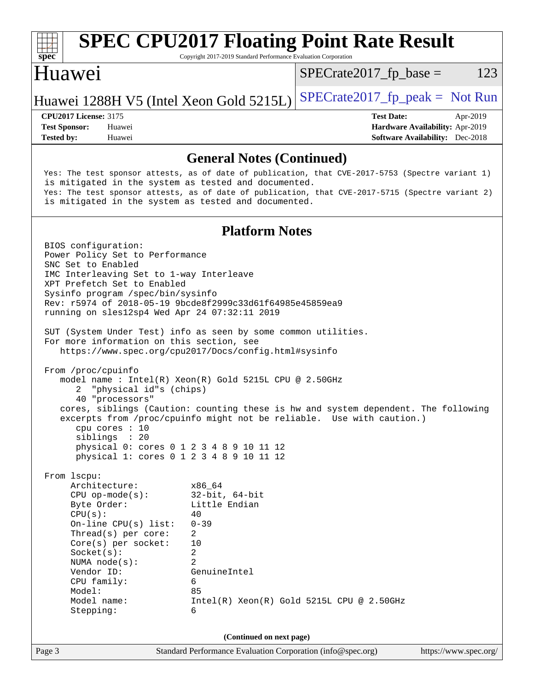| <b>SPEC CPU2017 Floating Point Rate Result</b><br>Copyright 2017-2019 Standard Performance Evaluation Corporation<br>$spec^*$                                                                                                                                                                                                                                                                                                                                                                                                                                                                                                                                                                                                                                                                                                                                                               |                                                                                                            |
|---------------------------------------------------------------------------------------------------------------------------------------------------------------------------------------------------------------------------------------------------------------------------------------------------------------------------------------------------------------------------------------------------------------------------------------------------------------------------------------------------------------------------------------------------------------------------------------------------------------------------------------------------------------------------------------------------------------------------------------------------------------------------------------------------------------------------------------------------------------------------------------------|------------------------------------------------------------------------------------------------------------|
| Huawei                                                                                                                                                                                                                                                                                                                                                                                                                                                                                                                                                                                                                                                                                                                                                                                                                                                                                      | 123<br>$SPECrate2017_fp\_base =$                                                                           |
| Huawei 1288H V5 (Intel Xeon Gold 5215L)                                                                                                                                                                                                                                                                                                                                                                                                                                                                                                                                                                                                                                                                                                                                                                                                                                                     | $SPECrate2017fr peak = Not Run$                                                                            |
| <b>CPU2017 License: 3175</b><br><b>Test Sponsor:</b><br>Huawei<br><b>Tested by:</b><br>Huawei                                                                                                                                                                                                                                                                                                                                                                                                                                                                                                                                                                                                                                                                                                                                                                                               | <b>Test Date:</b><br>Apr-2019<br>Hardware Availability: Apr-2019<br><b>Software Availability:</b> Dec-2018 |
| <b>General Notes (Continued)</b>                                                                                                                                                                                                                                                                                                                                                                                                                                                                                                                                                                                                                                                                                                                                                                                                                                                            |                                                                                                            |
| Yes: The test sponsor attests, as of date of publication, that CVE-2017-5753 (Spectre variant 1)<br>is mitigated in the system as tested and documented.<br>Yes: The test sponsor attests, as of date of publication, that CVE-2017-5715 (Spectre variant 2)<br>is mitigated in the system as tested and documented.                                                                                                                                                                                                                                                                                                                                                                                                                                                                                                                                                                        |                                                                                                            |
| <b>Platform Notes</b>                                                                                                                                                                                                                                                                                                                                                                                                                                                                                                                                                                                                                                                                                                                                                                                                                                                                       |                                                                                                            |
| Power Policy Set to Performance<br>SNC Set to Enabled<br>IMC Interleaving Set to 1-way Interleave<br>XPT Prefetch Set to Enabled<br>Sysinfo program /spec/bin/sysinfo<br>Rev: r5974 of 2018-05-19 9bcde8f2999c33d61f64985e45859ea9<br>running on sles12sp4 Wed Apr 24 07:32:11 2019<br>SUT (System Under Test) info as seen by some common utilities.<br>For more information on this section, see<br>https://www.spec.org/cpu2017/Docs/config.html#sysinfo<br>From /proc/cpuinfo<br>model name: $Intel(R)$ Xeon $(R)$ Gold 5215L CPU @ 2.50GHz<br>"physical id"s (chips)<br>2<br>40 "processors"<br>cores, siblings (Caution: counting these is hw and system dependent. The following<br>excerpts from /proc/cpuinfo might not be reliable. Use with caution.)<br>cpu cores : 10<br>siblings : 20<br>physical 0: cores 0 1 2 3 4 8 9 10 11 12<br>physical 1: cores 0 1 2 3 4 8 9 10 11 12 |                                                                                                            |
| From 1scpu:<br>Architecture:<br>x86_64<br>$CPU$ op-mode( $s$ ):<br>$32$ -bit, $64$ -bit<br>Little Endian<br>Byte Order:<br>CPU(s):<br>40<br>$0 - 39$<br>On-line $CPU(s)$ list:<br>$\overline{2}$<br>Thread(s) per core:<br>$Core(s)$ per socket:<br>10<br>$\overline{2}$<br>Socket(s):<br>$\overline{2}$<br>NUMA $node(s)$ :<br>Vendor ID:<br>GenuineIntel<br>CPU family:<br>6<br>85<br>Model:<br>Model name:<br>Stepping:<br>6                                                                                                                                                                                                                                                                                                                                                                                                                                                             | $Intel(R) Xeon(R) Gold 5215L CPU @ 2.50GHz$                                                                |

**(Continued on next page)**

Page 3 Standard Performance Evaluation Corporation [\(info@spec.org\)](mailto:info@spec.org) <https://www.spec.org/>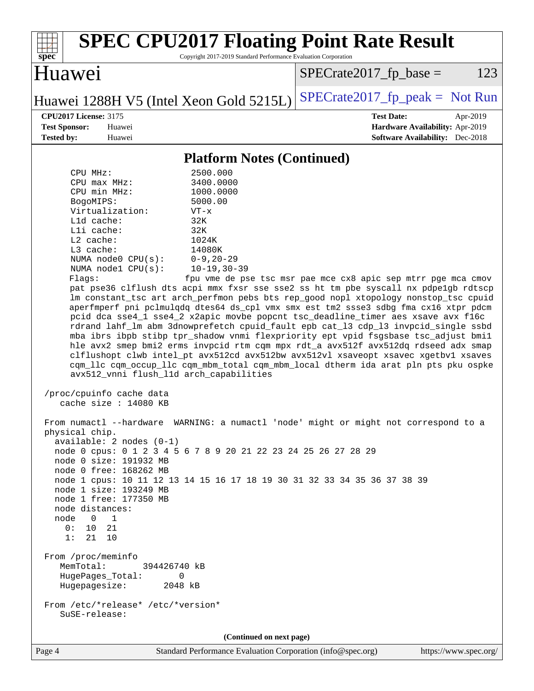

Page 4 Standard Performance Evaluation Corporation [\(info@spec.org\)](mailto:info@spec.org) <https://www.spec.org/>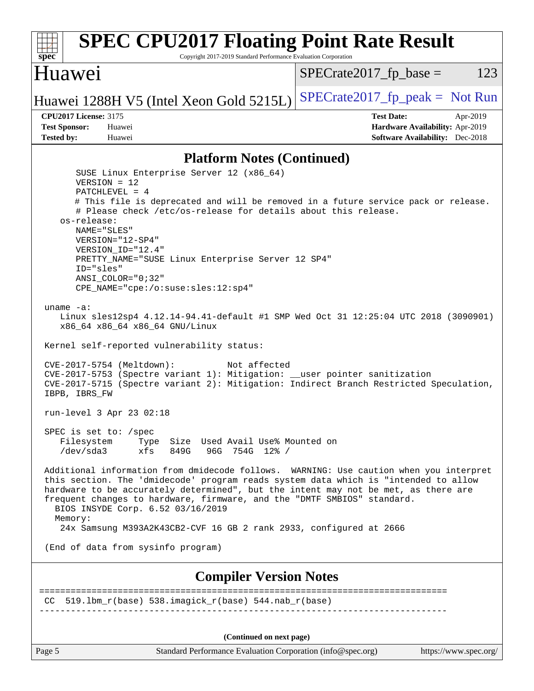#### **[spec](http://www.spec.org/) [SPEC CPU2017 Floating Point Rate Result](http://www.spec.org/auto/cpu2017/Docs/result-fields.html#SPECCPU2017FloatingPointRateResult)** Copyright 2017-2019 Standard Performance Evaluation Corporation Huawei Huawei 1288H V5 (Intel Xeon Gold 5215L) SPECrate 2017\_fp\_peak = Not Run  $SPECTate2017<sub>fr</sub> base = 123$ **[CPU2017 License:](http://www.spec.org/auto/cpu2017/Docs/result-fields.html#CPU2017License)** 3175 **[Test Date:](http://www.spec.org/auto/cpu2017/Docs/result-fields.html#TestDate)** Apr-2019 **[Test Sponsor:](http://www.spec.org/auto/cpu2017/Docs/result-fields.html#TestSponsor)** Huawei **[Hardware Availability:](http://www.spec.org/auto/cpu2017/Docs/result-fields.html#HardwareAvailability)** Apr-2019 **[Tested by:](http://www.spec.org/auto/cpu2017/Docs/result-fields.html#Testedby)** Huawei **[Software Availability:](http://www.spec.org/auto/cpu2017/Docs/result-fields.html#SoftwareAvailability)** Dec-2018 **[Platform Notes \(Continued\)](http://www.spec.org/auto/cpu2017/Docs/result-fields.html#PlatformNotes)** SUSE Linux Enterprise Server 12 (x86\_64) VERSION = 12 PATCHLEVEL = 4 # This file is deprecated and will be removed in a future service pack or release. # Please check /etc/os-release for details about this release. os-release: NAME="SLES" VERSION="12-SP4" VERSION\_ID="12.4" PRETTY\_NAME="SUSE Linux Enterprise Server 12 SP4" ID="sles" ANSI\_COLOR="0;32" CPE\_NAME="cpe:/o:suse:sles:12:sp4" uname -a: Linux sles12sp4 4.12.14-94.41-default #1 SMP Wed Oct 31 12:25:04 UTC 2018 (3090901) x86\_64 x86\_64 x86\_64 GNU/Linux Kernel self-reported vulnerability status: CVE-2017-5754 (Meltdown): Not affected CVE-2017-5753 (Spectre variant 1): Mitigation: \_\_user pointer sanitization CVE-2017-5715 (Spectre variant 2): Mitigation: Indirect Branch Restricted Speculation, IBPB, IBRS\_FW run-level 3 Apr 23 02:18 SPEC is set to: /spec Filesystem Type Size Used Avail Use% Mounted on /dev/sda3 xfs 849G 96G 754G 12% / Additional information from dmidecode follows. WARNING: Use caution when you interpret this section. The 'dmidecode' program reads system data which is "intended to allow hardware to be accurately determined", but the intent may not be met, as there are frequent changes to hardware, firmware, and the "DMTF SMBIOS" standard. BIOS INSYDE Corp. 6.52 03/16/2019 Memory: 24x Samsung M393A2K43CB2-CVF 16 GB 2 rank 2933, configured at 2666 (End of data from sysinfo program) **[Compiler Version Notes](http://www.spec.org/auto/cpu2017/Docs/result-fields.html#CompilerVersionNotes)** ============================================================================== CC 519.1bm  $r(base)$  538.imagick  $r(base)$  544.nab  $r(base)$ ------------------------------------------------------------------------------ **(Continued on next page)**

Page 5 Standard Performance Evaluation Corporation [\(info@spec.org\)](mailto:info@spec.org) <https://www.spec.org/>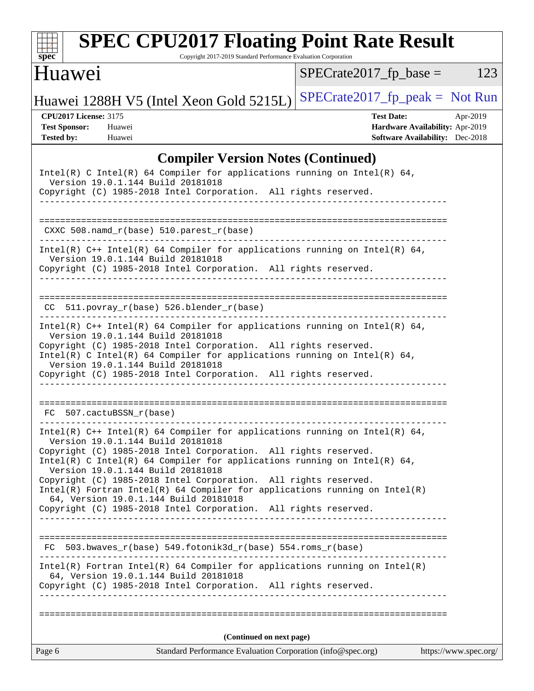| s<br>e<br>n<br>I<br>C<br>× |  |  |  |  |  |
|----------------------------|--|--|--|--|--|

# **[SPEC CPU2017 Floating Point Rate Result](http://www.spec.org/auto/cpu2017/Docs/result-fields.html#SPECCPU2017FloatingPointRateResult)**

Copyright 2017-2019 Standard Performance Evaluation Corporation

### Huawei

 $SPECrate2017_fp\_base = 123$ 

Huawei 1288H V5 (Intel Xeon Gold 5215L) SPECrate 2017\_fp\_peak = Not Run

**[CPU2017 License:](http://www.spec.org/auto/cpu2017/Docs/result-fields.html#CPU2017License)** 3175 **[Test Date:](http://www.spec.org/auto/cpu2017/Docs/result-fields.html#TestDate)** Apr-2019 **[Test Sponsor:](http://www.spec.org/auto/cpu2017/Docs/result-fields.html#TestSponsor)** Huawei **[Hardware Availability:](http://www.spec.org/auto/cpu2017/Docs/result-fields.html#HardwareAvailability)** Apr-2019 **[Tested by:](http://www.spec.org/auto/cpu2017/Docs/result-fields.html#Testedby)** Huawei **[Software Availability:](http://www.spec.org/auto/cpu2017/Docs/result-fields.html#SoftwareAvailability)** Dec-2018

### **[Compiler Version Notes \(Continued\)](http://www.spec.org/auto/cpu2017/Docs/result-fields.html#CompilerVersionNotes)**

| Intel(R) C Intel(R) 64 Compiler for applications running on Intel(R) 64,<br>Version 19.0.1.144 Build 20181018                                                                               |                       |
|---------------------------------------------------------------------------------------------------------------------------------------------------------------------------------------------|-----------------------|
| Copyright (C) 1985-2018 Intel Corporation. All rights reserved.<br>______________________________                                                                                           |                       |
|                                                                                                                                                                                             |                       |
| CXXC $508.namd_r(base) 510.parest_r(base)$                                                                                                                                                  |                       |
| Intel(R) $C++$ Intel(R) 64 Compiler for applications running on Intel(R) 64,<br>Version 19.0.1.144 Build 20181018<br>Copyright (C) 1985-2018 Intel Corporation. All rights reserved.        |                       |
| $CC$ 511.povray_r(base) 526.blender_r(base)<br>---------------------------                                                                                                                  |                       |
| Intel(R) $C++$ Intel(R) 64 Compiler for applications running on Intel(R) 64,<br>Version 19.0.1.144 Build 20181018                                                                           |                       |
| Copyright (C) 1985-2018 Intel Corporation. All rights reserved.<br>Intel(R) C Intel(R) 64 Compiler for applications running on Intel(R) 64,<br>Version 19.0.1.144 Build 20181018            |                       |
| Copyright (C) 1985-2018 Intel Corporation. All rights reserved.                                                                                                                             |                       |
| FC 507.cactuBSSN_r(base)                                                                                                                                                                    |                       |
| ______________________<br>Intel(R) $C++$ Intel(R) 64 Compiler for applications running on Intel(R) 64,                                                                                      |                       |
| Version 19.0.1.144 Build 20181018<br>Copyright (C) 1985-2018 Intel Corporation. All rights reserved.                                                                                        |                       |
| Intel(R) C Intel(R) 64 Compiler for applications running on Intel(R) 64,<br>Version 19.0.1.144 Build 20181018                                                                               |                       |
| Copyright (C) 1985-2018 Intel Corporation. All rights reserved.<br>$Intel(R)$ Fortran Intel(R) 64 Compiler for applications running on Intel(R)<br>64, Version 19.0.1.144 Build 20181018    |                       |
| Copyright (C) 1985-2018 Intel Corporation. All rights reserved.                                                                                                                             |                       |
| $FC$ 503.bwaves_r(base) 549.fotonik3d_r(base) 554.roms_r(base)                                                                                                                              |                       |
|                                                                                                                                                                                             |                       |
| $Intel(R)$ Fortran Intel(R) 64 Compiler for applications running on Intel(R)<br>64, Version 19.0.1.144 Build 20181018<br>Copyright (C) 1985-2018 Intel Corporation.<br>All rights reserved. |                       |
|                                                                                                                                                                                             |                       |
| (Continued on next page)                                                                                                                                                                    |                       |
| Standard Performance Evaluation Corporation (info@spec.org)<br>Page 6                                                                                                                       | https://www.spec.org/ |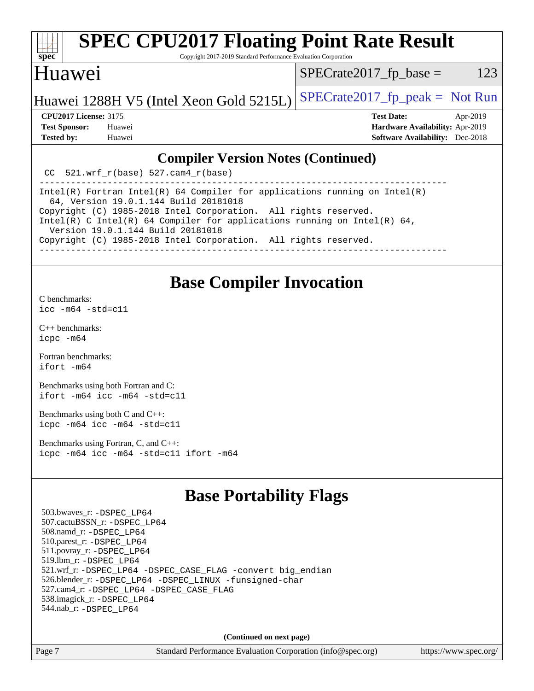

# **[SPEC CPU2017 Floating Point Rate Result](http://www.spec.org/auto/cpu2017/Docs/result-fields.html#SPECCPU2017FloatingPointRateResult)**

Copyright 2017-2019 Standard Performance Evaluation Corporation

### Huawei

 $SPECTate2017<sub>fr</sub> base = 123$ 

### Huawei 1288H V5 (Intel Xeon Gold 5215L) SPECrate 2017\_fp\_peak = Not Run

**[CPU2017 License:](http://www.spec.org/auto/cpu2017/Docs/result-fields.html#CPU2017License)** 3175 **[Test Date:](http://www.spec.org/auto/cpu2017/Docs/result-fields.html#TestDate)** Apr-2019 **[Test Sponsor:](http://www.spec.org/auto/cpu2017/Docs/result-fields.html#TestSponsor)** Huawei **[Hardware Availability:](http://www.spec.org/auto/cpu2017/Docs/result-fields.html#HardwareAvailability)** Apr-2019

#### **[Compiler Version Notes \(Continued\)](http://www.spec.org/auto/cpu2017/Docs/result-fields.html#CompilerVersionNotes)**

**[Tested by:](http://www.spec.org/auto/cpu2017/Docs/result-fields.html#Testedby)** Huawei **[Software Availability:](http://www.spec.org/auto/cpu2017/Docs/result-fields.html#SoftwareAvailability)** Dec-2018

CC 521.wrf  $r(base)$  527.cam4  $r(base)$ 

------------------------------------------------------------------------------ Intel(R) Fortran Intel(R) 64 Compiler for applications running on Intel(R) 64, Version 19.0.1.144 Build 20181018 Copyright (C) 1985-2018 Intel Corporation. All rights reserved. Intel(R) C Intel(R) 64 Compiler for applications running on Intel(R) 64, Version 19.0.1.144 Build 20181018 Copyright (C) 1985-2018 Intel Corporation. All rights reserved. ------------------------------------------------------------------------------

### **[Base Compiler Invocation](http://www.spec.org/auto/cpu2017/Docs/result-fields.html#BaseCompilerInvocation)**

[C benchmarks](http://www.spec.org/auto/cpu2017/Docs/result-fields.html#Cbenchmarks):

 $icc - m64 - std = c11$ 

[C++ benchmarks:](http://www.spec.org/auto/cpu2017/Docs/result-fields.html#CXXbenchmarks) [icpc -m64](http://www.spec.org/cpu2017/results/res2019q2/cpu2017-20190427-12454.flags.html#user_CXXbase_intel_icpc_64bit_4ecb2543ae3f1412ef961e0650ca070fec7b7afdcd6ed48761b84423119d1bf6bdf5cad15b44d48e7256388bc77273b966e5eb805aefd121eb22e9299b2ec9d9)

[Fortran benchmarks](http://www.spec.org/auto/cpu2017/Docs/result-fields.html#Fortranbenchmarks): [ifort -m64](http://www.spec.org/cpu2017/results/res2019q2/cpu2017-20190427-12454.flags.html#user_FCbase_intel_ifort_64bit_24f2bb282fbaeffd6157abe4f878425411749daecae9a33200eee2bee2fe76f3b89351d69a8130dd5949958ce389cf37ff59a95e7a40d588e8d3a57e0c3fd751)

[Benchmarks using both Fortran and C](http://www.spec.org/auto/cpu2017/Docs/result-fields.html#BenchmarksusingbothFortranandC): [ifort -m64](http://www.spec.org/cpu2017/results/res2019q2/cpu2017-20190427-12454.flags.html#user_CC_FCbase_intel_ifort_64bit_24f2bb282fbaeffd6157abe4f878425411749daecae9a33200eee2bee2fe76f3b89351d69a8130dd5949958ce389cf37ff59a95e7a40d588e8d3a57e0c3fd751) [icc -m64 -std=c11](http://www.spec.org/cpu2017/results/res2019q2/cpu2017-20190427-12454.flags.html#user_CC_FCbase_intel_icc_64bit_c11_33ee0cdaae7deeeab2a9725423ba97205ce30f63b9926c2519791662299b76a0318f32ddfffdc46587804de3178b4f9328c46fa7c2b0cd779d7a61945c91cd35)

[Benchmarks using both C and C++](http://www.spec.org/auto/cpu2017/Docs/result-fields.html#BenchmarksusingbothCandCXX): [icpc -m64](http://www.spec.org/cpu2017/results/res2019q2/cpu2017-20190427-12454.flags.html#user_CC_CXXbase_intel_icpc_64bit_4ecb2543ae3f1412ef961e0650ca070fec7b7afdcd6ed48761b84423119d1bf6bdf5cad15b44d48e7256388bc77273b966e5eb805aefd121eb22e9299b2ec9d9) [icc -m64 -std=c11](http://www.spec.org/cpu2017/results/res2019q2/cpu2017-20190427-12454.flags.html#user_CC_CXXbase_intel_icc_64bit_c11_33ee0cdaae7deeeab2a9725423ba97205ce30f63b9926c2519791662299b76a0318f32ddfffdc46587804de3178b4f9328c46fa7c2b0cd779d7a61945c91cd35)

[Benchmarks using Fortran, C, and C++:](http://www.spec.org/auto/cpu2017/Docs/result-fields.html#BenchmarksusingFortranCandCXX) [icpc -m64](http://www.spec.org/cpu2017/results/res2019q2/cpu2017-20190427-12454.flags.html#user_CC_CXX_FCbase_intel_icpc_64bit_4ecb2543ae3f1412ef961e0650ca070fec7b7afdcd6ed48761b84423119d1bf6bdf5cad15b44d48e7256388bc77273b966e5eb805aefd121eb22e9299b2ec9d9) [icc -m64 -std=c11](http://www.spec.org/cpu2017/results/res2019q2/cpu2017-20190427-12454.flags.html#user_CC_CXX_FCbase_intel_icc_64bit_c11_33ee0cdaae7deeeab2a9725423ba97205ce30f63b9926c2519791662299b76a0318f32ddfffdc46587804de3178b4f9328c46fa7c2b0cd779d7a61945c91cd35) [ifort -m64](http://www.spec.org/cpu2017/results/res2019q2/cpu2017-20190427-12454.flags.html#user_CC_CXX_FCbase_intel_ifort_64bit_24f2bb282fbaeffd6157abe4f878425411749daecae9a33200eee2bee2fe76f3b89351d69a8130dd5949958ce389cf37ff59a95e7a40d588e8d3a57e0c3fd751)

## **[Base Portability Flags](http://www.spec.org/auto/cpu2017/Docs/result-fields.html#BasePortabilityFlags)**

 503.bwaves\_r: [-DSPEC\\_LP64](http://www.spec.org/cpu2017/results/res2019q2/cpu2017-20190427-12454.flags.html#suite_basePORTABILITY503_bwaves_r_DSPEC_LP64) 507.cactuBSSN\_r: [-DSPEC\\_LP64](http://www.spec.org/cpu2017/results/res2019q2/cpu2017-20190427-12454.flags.html#suite_basePORTABILITY507_cactuBSSN_r_DSPEC_LP64) 508.namd\_r: [-DSPEC\\_LP64](http://www.spec.org/cpu2017/results/res2019q2/cpu2017-20190427-12454.flags.html#suite_basePORTABILITY508_namd_r_DSPEC_LP64) 510.parest\_r: [-DSPEC\\_LP64](http://www.spec.org/cpu2017/results/res2019q2/cpu2017-20190427-12454.flags.html#suite_basePORTABILITY510_parest_r_DSPEC_LP64) 511.povray\_r: [-DSPEC\\_LP64](http://www.spec.org/cpu2017/results/res2019q2/cpu2017-20190427-12454.flags.html#suite_basePORTABILITY511_povray_r_DSPEC_LP64) 519.lbm\_r: [-DSPEC\\_LP64](http://www.spec.org/cpu2017/results/res2019q2/cpu2017-20190427-12454.flags.html#suite_basePORTABILITY519_lbm_r_DSPEC_LP64) 521.wrf\_r: [-DSPEC\\_LP64](http://www.spec.org/cpu2017/results/res2019q2/cpu2017-20190427-12454.flags.html#suite_basePORTABILITY521_wrf_r_DSPEC_LP64) [-DSPEC\\_CASE\\_FLAG](http://www.spec.org/cpu2017/results/res2019q2/cpu2017-20190427-12454.flags.html#b521.wrf_r_baseCPORTABILITY_DSPEC_CASE_FLAG) [-convert big\\_endian](http://www.spec.org/cpu2017/results/res2019q2/cpu2017-20190427-12454.flags.html#user_baseFPORTABILITY521_wrf_r_convert_big_endian_c3194028bc08c63ac5d04de18c48ce6d347e4e562e8892b8bdbdc0214820426deb8554edfa529a3fb25a586e65a3d812c835984020483e7e73212c4d31a38223) 526.blender\_r: [-DSPEC\\_LP64](http://www.spec.org/cpu2017/results/res2019q2/cpu2017-20190427-12454.flags.html#suite_basePORTABILITY526_blender_r_DSPEC_LP64) [-DSPEC\\_LINUX](http://www.spec.org/cpu2017/results/res2019q2/cpu2017-20190427-12454.flags.html#b526.blender_r_baseCPORTABILITY_DSPEC_LINUX) [-funsigned-char](http://www.spec.org/cpu2017/results/res2019q2/cpu2017-20190427-12454.flags.html#user_baseCPORTABILITY526_blender_r_force_uchar_40c60f00ab013830e2dd6774aeded3ff59883ba5a1fc5fc14077f794d777847726e2a5858cbc7672e36e1b067e7e5c1d9a74f7176df07886a243d7cc18edfe67) 527.cam4\_r: [-DSPEC\\_LP64](http://www.spec.org/cpu2017/results/res2019q2/cpu2017-20190427-12454.flags.html#suite_basePORTABILITY527_cam4_r_DSPEC_LP64) [-DSPEC\\_CASE\\_FLAG](http://www.spec.org/cpu2017/results/res2019q2/cpu2017-20190427-12454.flags.html#b527.cam4_r_baseCPORTABILITY_DSPEC_CASE_FLAG) 538.imagick\_r: [-DSPEC\\_LP64](http://www.spec.org/cpu2017/results/res2019q2/cpu2017-20190427-12454.flags.html#suite_basePORTABILITY538_imagick_r_DSPEC_LP64) 544.nab\_r: [-DSPEC\\_LP64](http://www.spec.org/cpu2017/results/res2019q2/cpu2017-20190427-12454.flags.html#suite_basePORTABILITY544_nab_r_DSPEC_LP64)

**(Continued on next page)**

Page 7 Standard Performance Evaluation Corporation [\(info@spec.org\)](mailto:info@spec.org) <https://www.spec.org/>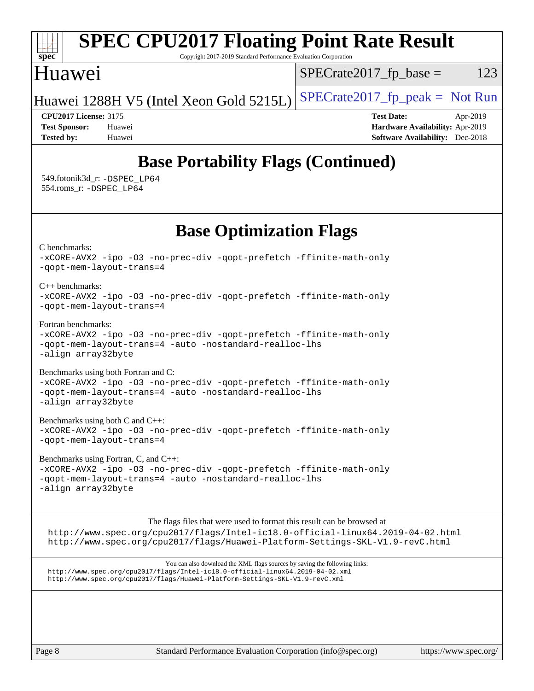

Page 8 Standard Performance Evaluation Corporation [\(info@spec.org\)](mailto:info@spec.org) <https://www.spec.org/>